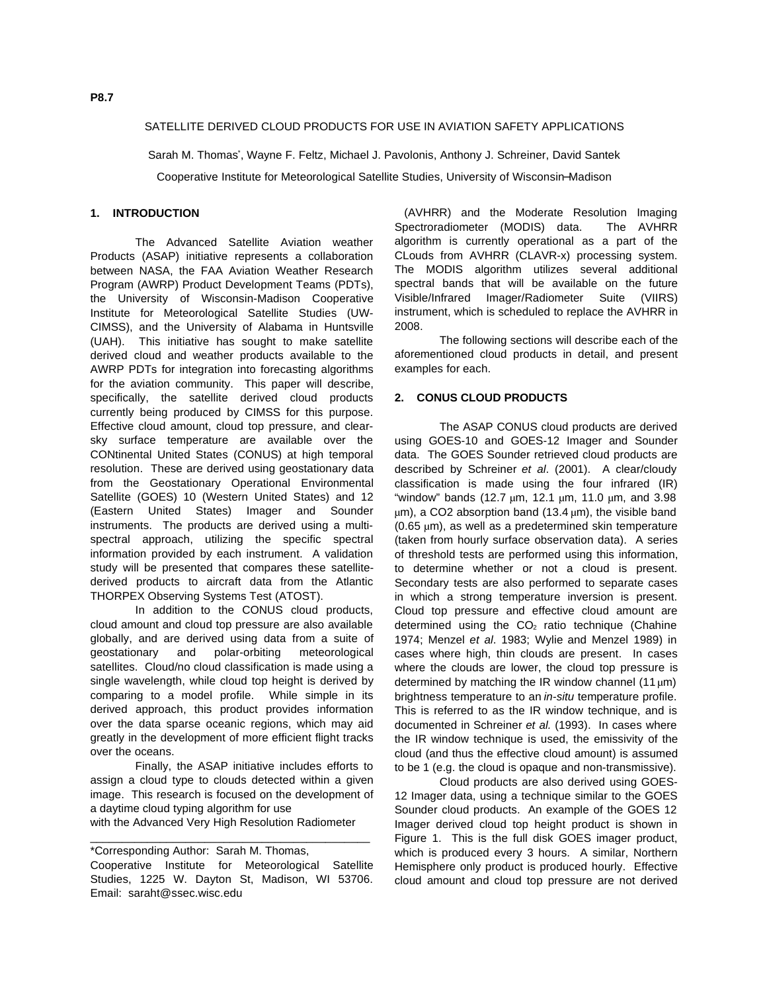## SATELLITE DERIVED CLOUD PRODUCTS FOR USE IN AVIATION SAFETY APPLICATIONS

Sarah M. Thomas', Wayne F. Feltz, Michael J. Pavolonis, Anthony J. Schreiner, David Santek

Cooperative Institute for Meteorological Satellite Studies, University of Wisconsin−Madison

## **1. INTRODUCTION**

The Advanced Satellite Aviation weather Products (ASAP) initiative represents a collaboration between NASA, the FAA Aviation Weather Research Program (AWRP) Product Development Teams (PDTs), the University of Wisconsin-Madison Cooperative Institute for Meteorological Satellite Studies (UW-CIMSS), and the University of Alabama in Huntsville (UAH). This initiative has sought to make satellite derived cloud and weather products available to the AWRP PDTs for integration into forecasting algorithms for the aviation community. This paper will describe, specifically, the satellite derived cloud products currently being produced by CIMSS for this purpose. Effective cloud amount, cloud top pressure, and clearsky surface temperature are available over the CONtinental United States (CONUS) at high temporal resolution. These are derived using geostationary data from the Geostationary Operational Environmental Satellite (GOES) 10 (Western United States) and 12 (Eastern United States) Imager and Sounder instruments. The products are derived using a multispectral approach, utilizing the specific spectral information provided by each instrument. A validation study will be presented that compares these satellitederived products to aircraft data from the Atlantic THORPEX Observing Systems Test (ATOST).

In addition to the CONUS cloud products, cloud amount and cloud top pressure are also available globally, and are derived using data from a suite of geostationary and polar-orbiting meteorological satellites. Cloud/no cloud classification is made using a single wavelength, while cloud top height is derived by comparing to a model profile. While simple in its derived approach, this product provides information over the data sparse oceanic regions, which may aid greatly in the development of more efficient flight tracks over the oceans.

Finally, the ASAP initiative includes efforts to assign a cloud type to clouds detected within a given image. This research is focused on the development of a daytime cloud typing algorithm for use

with the Advanced Very High Resolution Radiometer \_\_\_\_\_\_\_\_\_\_\_\_\_\_\_\_\_\_\_\_\_\_\_\_\_\_\_\_\_\_\_\_\_\_\_\_\_\_\_\_\_\_\_\_

(AVHRR) and the Moderate Resolution Imaging Spectroradiometer (MODIS) data. The AVHRR algorithm is currently operational as a part of the CLouds from AVHRR (CLAVR-x) processing system. The MODIS algorithm utilizes several additional spectral bands that will be available on the future Visible/Infrared Imager/Radiometer Suite (VIIRS) instrument, which is scheduled to replace the AVHRR in 2008.

The following sections will describe each of the aforementioned cloud products in detail, and present examples for each.

#### **2. CONUS CLOUD PRODUCTS**

The ASAP CONUS cloud products are derived using GOES-10 and GOES-12 Imager and Sounder data. The GOES Sounder retrieved cloud products are described by Schreiner et al. (2001). A clear/cloudy classification is made using the four infrared (IR) "window" bands (12.7 µm, 12.1 µm, 11.0 µm, and 3.98  $µm$ ), a CO2 absorption band (13.4  $µm$ ), the visible band (0.65 µm), as well as a predetermined skin temperature (taken from hourly surface observation data). A series of threshold tests are performed using this information, to determine whether or not a cloud is present. Secondary tests are also performed to separate cases in which a strong temperature inversion is present. Cloud top pressure and effective cloud amount are determined using the  $CO<sub>2</sub>$  ratio technique (Chahine 1974; Menzel et al. 1983; Wylie and Menzel 1989) in cases where high, thin clouds are present. In cases where the clouds are lower, the cloud top pressure is determined by matching the IR window channel (11  $\mu$ m) brightness temperature to an in-situ temperature profile. This is referred to as the IR window technique, and is documented in Schreiner et al. (1993). In cases where the IR window technique is used, the emissivity of the cloud (and thus the effective cloud amount) is assumed to be 1 (e.g. the cloud is opaque and non-transmissive).

Cloud products are also derived using GOES-12 Imager data, using a technique similar to the GOES Sounder cloud products. An example of the GOES 12 Imager derived cloud top height product is shown in Figure 1. This is the full disk GOES imager product, which is produced every 3 hours. A similar, Northern Hemisphere only product is produced hourly. Effective cloud amount and cloud top pressure are not derived

<sup>\*</sup>Corresponding Author: Sarah M. Thomas,

Cooperative Institute for Meteorological Satellite Studies, 1225 W. Dayton St, Madison, WI 53706. Email: saraht@ssec.wisc.edu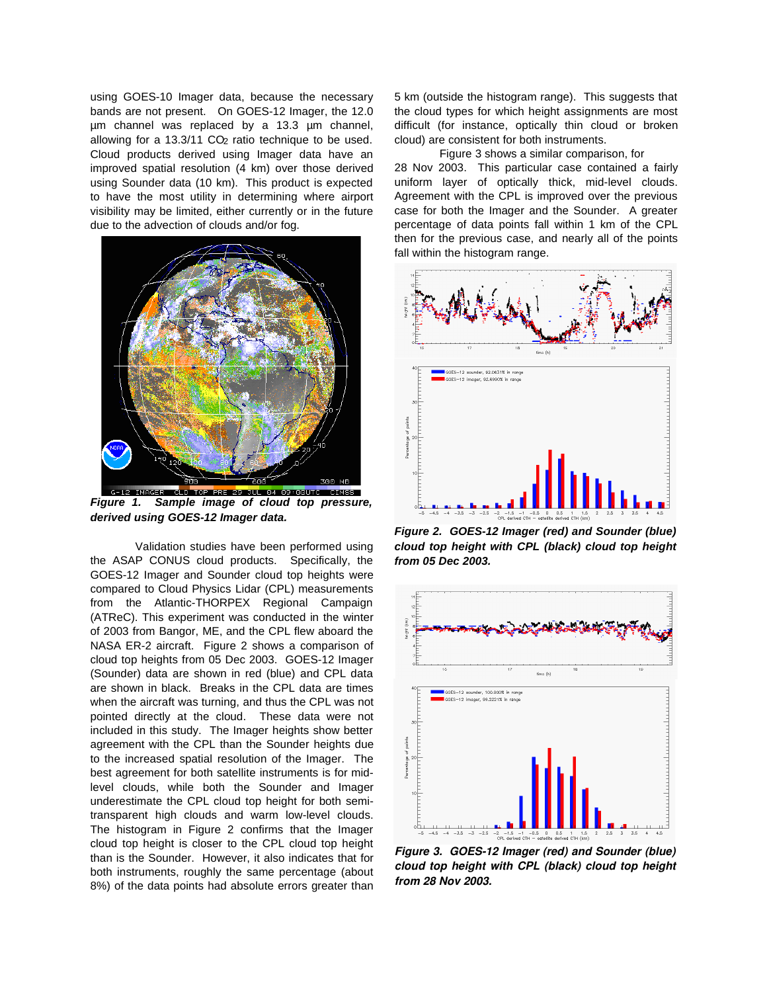using GOES-10 Imager data, because the necessary bands are not present. On GOES-12 Imager, the 12.0 µm channel was replaced by a 13.3 µm channel, allowing for a 13.3/11 CO<sub>2</sub> ratio technique to be used. Cloud products derived using Imager data have an improved spatial resolution (4 km) over those derived using Sounder data (10 km). This product is expected to have the most utility in determining where airport visibility may be limited, either currently or in the future due to the advection of clouds and/or fog.



**Figure 1. Sample image of cloud top pressure, derived using GOES-12 Imager data.**

Validation studies have been performed using the ASAP CONUS cloud products. Specifically, the GOES-12 Imager and Sounder cloud top heights were compared to Cloud Physics Lidar (CPL) measurements from the Atlantic-THORPEX Regional Campaign (ATReC). This experiment was conducted in the winter of 2003 from Bangor, ME, and the CPL flew aboard the NASA ER-2 aircraft. Figure 2 shows a comparison of cloud top heights from 05 Dec 2003. GOES-12 Imager (Sounder) data are shown in red (blue) and CPL data are shown in black. Breaks in the CPL data are times when the aircraft was turning, and thus the CPL was not pointed directly at the cloud. These data were not included in this study. The Imager heights show better agreement with the CPL than the Sounder heights due to the increased spatial resolution of the Imager. The best agreement for both satellite instruments is for midlevel clouds, while both the Sounder and Imager underestimate the CPL cloud top height for both semitransparent high clouds and warm low-level clouds. The histogram in Figure 2 confirms that the Imager cloud top height is closer to the CPL cloud top height than is the Sounder. However, it also indicates that for both instruments, roughly the same percentage (about 8%) of the data points had absolute errors greater than 5 km (outside the histogram range). This suggests that the cloud types for which height assignments are most difficult (for instance, optically thin cloud or broken cloud) are consistent for both instruments.

Figure 3 shows a similar comparison, for 28 Nov 2003. This particular case contained a fairly uniform layer of optically thick, mid-level clouds. Agreement with the CPL is improved over the previous case for both the Imager and the Sounder. A greater percentage of data points fall within 1 km of the CPL then for the previous case, and nearly all of the points fall within the histogram range.



**Figure 2. GOES-12 Imager (red) and Sounder (blue) cloud top height with CPL (black) cloud top height from 05 Dec 2003.**



*Figure 3. GOES12 Imager (red) and Sounder (blue) cloud top height with CPL (black) cloud top height from 28 Nov 2003.*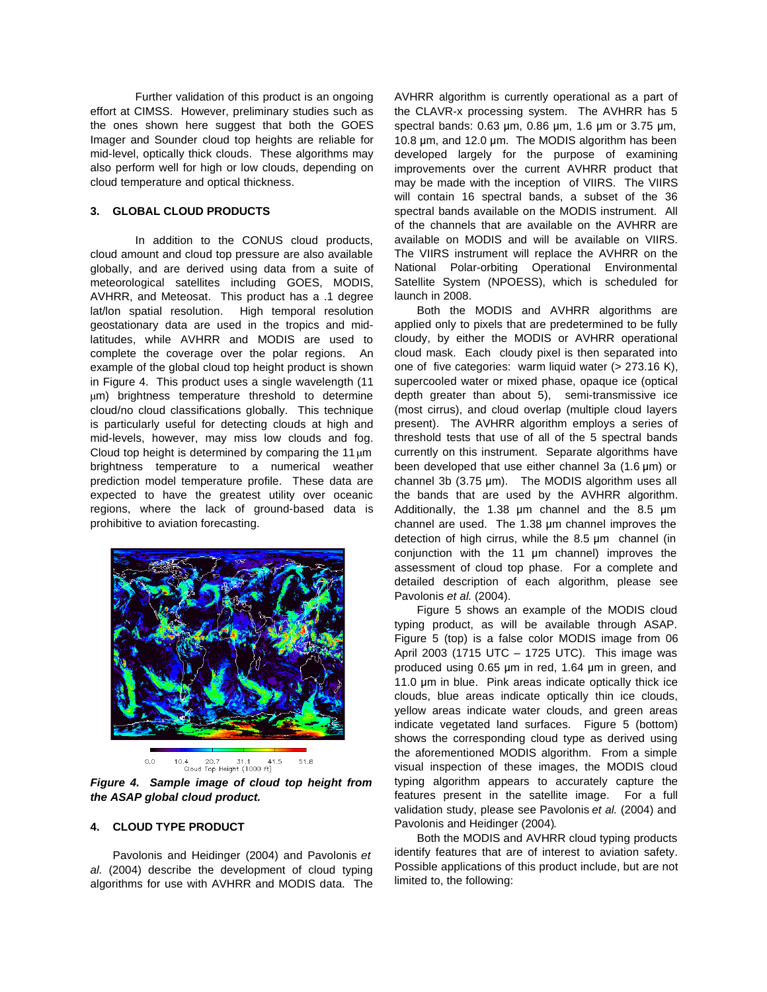Further validation of this product is an ongoing effort at CIMSS. However, preliminary studies such as the ones shown here suggest that both the GOES Imager and Sounder cloud top heights are reliable for mid-level, optically thick clouds. These algorithms may also perform well for high or low clouds, depending on cloud temperature and optical thickness.

#### **3. GLOBAL CLOUD PRODUCTS**

In addition to the CONUS cloud products, cloud amount and cloud top pressure are also available globally, and are derived using data from a suite of meteorological satellites including GOES, MODIS, AVHRR, and Meteosat. This product has a .1 degree lat/lon spatial resolution. High temporal resolution geostationary data are used in the tropics and midlatitudes, while AVHRR and MODIS are used to complete the coverage over the polar regions. An example of the global cloud top height product is shown in Figure 4. This product uses a single wavelength (11 µm) brightness temperature threshold to determine cloud/no cloud classifications globally. This technique is particularly useful for detecting clouds at high and mid-levels, however, may miss low clouds and fog. Cloud top height is determined by comparing the 11  $\mu$ m brightness temperature to a numerical weather prediction model temperature profile. These data are expected to have the greatest utility over oceanic regions, where the lack of ground-based data is prohibitive to aviation forecasting.



**Figure 4. Sample image of cloud top height from the ASAP global cloud product.**

## **4. CLOUD TYPE PRODUCT**

Pavolonis and Heidinger (2004) and Pavolonis et al. (2004) describe the development of cloud typing algorithms for use with AVHRR and MODIS data. The AVHRR algorithm is currently operational as a part of the CLAVR-x processing system. The AVHRR has 5 spectral bands:  $0.63 \mu m$ ,  $0.86 \mu m$ ,  $1.6 \mu m$  or  $3.75 \mu m$ , 10.8  $\mu$ m, and 12.0  $\mu$ m. The MODIS algorithm has been developed largely for the purpose of examining improvements over the current AVHRR product that may be made with the inception of VIIRS. The VIIRS will contain 16 spectral bands, a subset of the 36 spectral bands available on the MODIS instrument. All of the channels that are available on the AVHRR are available on MODIS and will be available on VIIRS. The VIIRS instrument will replace the AVHRR on the National Polar-orbiting Operational Environmental Satellite System (NPOESS), which is scheduled for launch in 2008.

Both the MODIS and AVHRR algorithms are applied only to pixels that are predetermined to be fully cloudy, by either the MODIS or AVHRR operational cloud mask. Each cloudy pixel is then separated into one of five categories: warm liquid water (> 273.16 K), supercooled water or mixed phase, opaque ice (optical depth greater than about 5), semi-transmissive ice (most cirrus), and cloud overlap (multiple cloud layers present). The AVHRR algorithm employs a series of threshold tests that use of all of the 5 spectral bands currently on this instrument. Separate algorithms have been developed that use either channel 3a  $(1.6 \,\mu m)$  or channel 3b  $(3.75 \text{ }\mu\text{m})$ . The MODIS algorithm uses all the bands that are used by the AVHRR algorithm. Additionally, the 1.38  $\mu$ m channel and the 8.5  $\mu$ m channel are used. The  $1.38 \mu m$  channel improves the detection of high cirrus, while the  $8.5 \mu m$  channel (in conjunction with the 11 um channel) improves the assessment of cloud top phase. For a complete and detailed description of each algorithm, please see Pavolonis et al. (2004).

Figure 5 shows an example of the MODIS cloud typing product, as will be available through ASAP. Figure 5 (top) is a false color MODIS image from 06 April 2003 (1715 UTC – 1725 UTC). This image was produced using  $0.65 \mu m$  in red, 1.64  $\mu m$  in green, and 11.0 um in blue. Pink areas indicate optically thick ice clouds, blue areas indicate optically thin ice clouds, yellow areas indicate water clouds, and green areas indicate vegetated land surfaces. Figure 5 (bottom) shows the corresponding cloud type as derived using the aforementioned MODIS algorithm. From a simple visual inspection of these images, the MODIS cloud typing algorithm appears to accurately capture the features present in the satellite image. For a full validation study, please see Pavolonis et al. (2004) and Pavolonis and Heidinger (2004).

Both the MODIS and AVHRR cloud typing products identify features that are of interest to aviation safety. Possible applications of this product include, but are not limited to, the following: